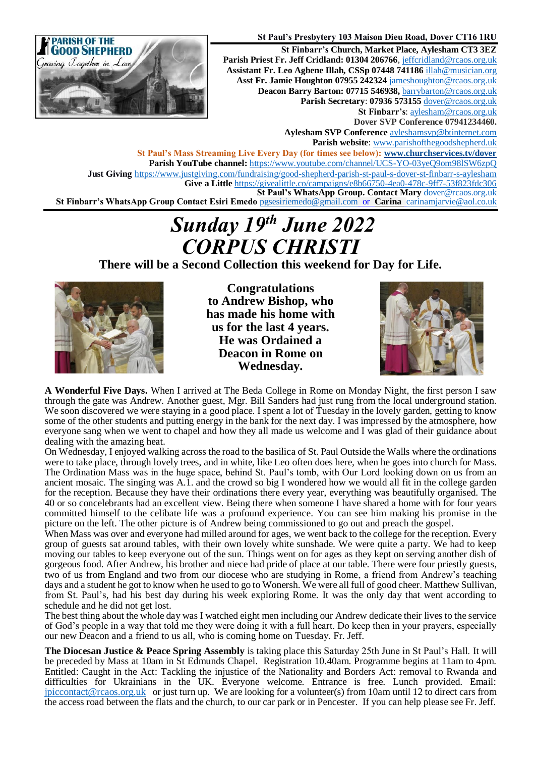

**St Paul's Presbytery 103 Maison Dieu Road, Dover CT16 1RU St Finbarr's Church, Market Place, Aylesham CT3 3EZ Parish Priest Fr. Jeff Cridland: 01304 206766**[, jeffcridland@rcaos.org.uk](mailto:jeffcridland@rcaos.org.uk) **Assistant Fr. Leo Agbene Illah, CSSp 07448 741186** [illah@musician.org](mailto:illah@musician.org) **Asst Fr. Jamie Houghton 07955 242324** [jameshoughton@rcaos.org.uk](mailto:jameshoughton@rcaos.org.uk) **Deacon Barry Barton: 07715 546938,** [barrybarton@rcaos.org.uk](mailto:barrybarton@rcaos.org.uk) **Parish Secretary**: **07936 573155** [dover@rcaos.org.uk](mailto:dover@rcaos.org.uk) **St Finbarr's**[: aylesham@rcaos.org.uk](mailto:aylesham@rcaos.org.uk) **Dover SVP Conference 07941234460. Aylesham SVP Conference** [ayleshamsvp@btinternet.com](mailto:ayleshamsvp@btinternet.com) **Parish website**: [www.parishofthegoodshepherd.uk](http://www.parishofthegoodshepherd.uk/)

**St Paul's Mass Streaming Live Every Day (for times see below): [www.churchservices.tv/dover](http://www.churchservices.tv/dover) Parish YouTube channel:** <https://www.youtube.com/channel/UCS-YO-03yeQ9om98lSW6zpQ> **Just Giving** <https://www.justgiving.com/fundraising/good-shepherd-parish-st-paul-s-dover-st-finbarr-s-aylesham> Give a Little <https://givealittle.co/campaigns/e8b66750-4ea0-478c-9ff7-53f823fdc306> **St Paul's WhatsApp Group. Contact Mary** [dover@rcaos.org.uk](mailto:dover@rcaos.org.uk) **St Finbarr's WhatsApp Group Contact Esiri Emedo** [pgsesiriemedo@gmail.com](mailto:pgsesiriemedo@gmail.com) or **Carina** [carinamjarvie@aol.co.uk](mailto:carinamjarvie@aol.co.uk)

# *Sunday 19 th June 2022 CORPUS CHRISTI*

**There will be a Second Collection this weekend for Day for Life.**



**Congratulations to Andrew Bishop, who has made his home with us for the last 4 years. He was Ordained a Deacon in Rome on Wednesday.**



**A Wonderful Five Days.** When I arrived at The Beda College in Rome on Monday Night, the first person I saw through the gate was Andrew. Another guest, Mgr. Bill Sanders had just rung from the local underground station. We soon discovered we were staying in a good place. I spent a lot of Tuesday in the lovely garden, getting to know some of the other students and putting energy in the bank for the next day. I was impressed by the atmosphere, how everyone sang when we went to chapel and how they all made us welcome and I was glad of their guidance about dealing with the amazing heat.

On Wednesday, I enjoyed walking across the road to the basilica of St. Paul Outside the Walls where the ordinations were to take place, through lovely trees, and in white, like Leo often does here, when he goes into church for Mass. The Ordination Mass was in the huge space, behind St. Paul's tomb, with Our Lord looking down on us from an ancient mosaic. The singing was A.1. and the crowd so big I wondered how we would all fit in the college garden for the reception. Because they have their ordinations there every year, everything was beautifully organised. The 40 or so concelebrants had an excellent view. Being there when someone I have shared a home with for four years committed himself to the celibate life was a profound experience. You can see him making his promise in the picture on the left. The other picture is of Andrew being commissioned to go out and preach the gospel.

When Mass was over and everyone had milled around for ages, we went back to the college for the reception. Every group of guests sat around tables, with their own lovely white sunshade. We were quite a party. We had to keep moving our tables to keep everyone out of the sun. Things went on for ages as they kept on serving another dish of gorgeous food. After Andrew, his brother and niece had pride of place at our table. There were four priestly guests, two of us from England and two from our diocese who are studying in Rome, a friend from Andrew's teaching days and a student he got to know when he used to go to Wonersh. We were all full of good cheer. Matthew Sullivan, from St. Paul's, had his best day during his week exploring Rome. It was the only day that went according to schedule and he did not get lost.

The best thing about the whole day was I watched eight men including our Andrew dedicate their lives to the service of God's people in a way that told me they were doing it with a full heart. Do keep then in your prayers, especially our new Deacon and a friend to us all, who is coming home on Tuesday. Fr. Jeff.

**The Diocesan Justice & Peace Spring Assembly** is taking place this Saturday 25th June in St Paul's Hall. It will be preceded by Mass at 10am in St Edmunds Chapel. Registration 10.40am. Programme begins at 11am to 4pm. Entitled: Caught in the Act: Tackling the injustice of the Nationality and Borders Act: removal to Rwanda and difficulties for Ukrainians in the UK. Everyone welcome. Entrance is free. Lunch provided. Email: [jpiccontact@rcaos.org.uk](mailto:jpiccontact@rcaos.org.uk) or just turn up. We are looking for a volunteer(s) from 10am until 12 to direct cars from the access road between the flats and the church, to our car park or in Pencester. If you can help please see Fr. Jeff.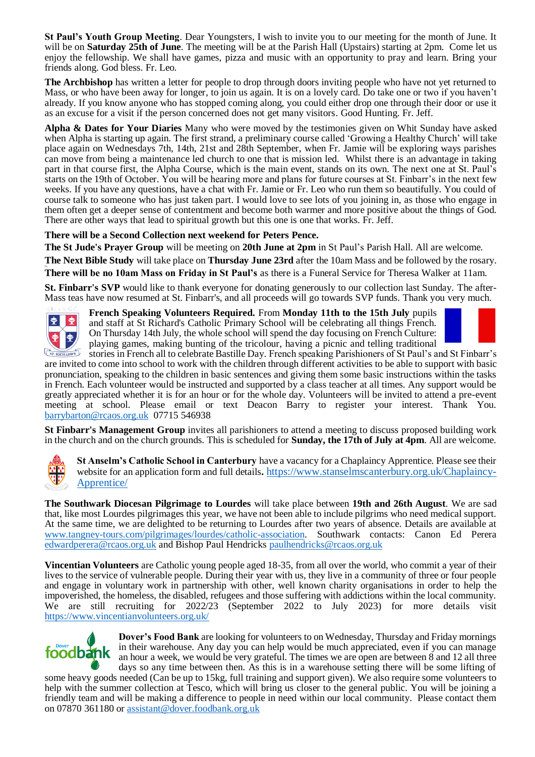**St Paul's Youth Group Meeting**. Dear Youngsters, I wish to invite you to our meeting for the month of June. It will be on **Saturday 25th of June**. The meeting will be at the Parish Hall (Upstairs) starting at 2pm. Come let us enjoy the fellowship. We shall have games, pizza and music with an opportunity to pray and learn. Bring your friends along. God bless. Fr. Leo.

**The Archbishop** has written a letter for people to drop through doors inviting people who have not yet returned to Mass, or who have been away for longer, to join us again. It is on a lovely card. Do take one or two if you haven't already. If you know anyone who has stopped coming along, you could either drop one through their door or use it as an excuse for a visit if the person concerned does not get many visitors. Good Hunting. Fr. Jeff.

**Alpha & Dates for Your Diaries** Many who were moved by the testimonies given on Whit Sunday have asked when Alpha is starting up again. The first strand, a preliminary course called 'Growing a Healthy Church' will take place again on Wednesdays 7th, 14th, 21st and 28th September, when Fr. Jamie will be exploring ways parishes can move from being a maintenance led church to one that is mission led. Whilst there is an advantage in taking part in that course first, the Alpha Course, which is the main event, stands on its own. The next one at St. Paul's starts on the 19th of October. You will be hearing more and plans for future courses at St. Finbarr's in the next few weeks. If you have any questions, have a chat with Fr. Jamie or Fr. Leo who run them so beautifully. You could of course talk to someone who has just taken part. I would love to see lots of you joining in, as those who engage in them often get a deeper sense of contentment and become both warmer and more positive about the things of God. There are other ways that lead to spiritual growth but this one is one that works. Fr. Jeff.

# **There will be a Second Collection next weekend for Peters Pence.**

**The St Jude's Prayer Group** will be meeting on **20th June at 2pm** in St Paul's Parish Hall. All are welcome. **The Next Bible Study** will take place on **Thursday June 23rd** after the 10am Mass and be followed by the rosary. Th **There will be no 10am Mass on Friday in St Paul's** as there is a Funeral Service for Theresa Walker at 11am.

**St. Finbarr's SVP** would like to thank everyone for donating generously to our collection last Sunday. The after-Mass teas have now resumed at St. Finbarr's, and all proceeds will go towards SVP funds. Thank you very much.



**French Speaking Volunteers Required.** From **Monday 11th to the 15th July** pupils and staff at St Richard's Catholic Primary School will be celebrating all things French. On Thursday 14th July, the whole school will spend the day focusing on French Culture: playing games, making bunting of the tricolour, having a picnic and telling traditional



ST. RICHARD'S stories in French all to celebrate Bastille Day. French speaking Parishioners of St Paul's and St Finbarr's are invited to come into school to work with the children through different activities to be able to support with basic pronunciation, speaking to the children in basic sentences and giving them some basic instructions within the tasks in French. Each volunteer would be instructed and supported by a class teacher at all times. Any support would be greatly appreciated whether it is for an hour or for the whole day. Volunteers will be invited to attend a pre-event meeting at school. Please email or text Deacon Barry to register your interest. Thank You. [barrybarton@rcaos.org.uk](mailto:barrybarton@rcaos.org.uk) 07715 546938

**St Finbarr's Management Group** invites all parishioners to attend a meeting to discuss proposed building work in the church and on the church grounds. This is scheduled for **Sunday, the 17th of July at 4pm**. All are welcome.



**St Anselm's Catholic School in Canterbury** have a vacancy for a Chaplaincy Apprentice. Please see their website for an application form and full details**.** [https://www.stanselmscanterbury.org.uk/Chaplaincy-](https://www.stanselmscanterbury.org.uk/Chaplaincy-Apprentice/)[Apprentice/](https://www.stanselmscanterbury.org.uk/Chaplaincy-Apprentice/)

**The Southwark Diocesan Pilgrimage to Lourdes** will take place between **19th and 26th August**. We are sad that, like most Lourdes pilgrimages this year, we have not been able to include pilgrims who need medical support. At the same time, we are delighted to be returning to Lourdes after two years of absence. Details are available at [www.tangney-tours.com/pilgrimages/lourdes/catholic-association.](http://www.tangney-tours.com/pilgrimages/lourdes/catholic-association) Southwark contacts: Canon Ed Perera [edwardperera@rcaos.org.uk](mailto:edwardperera@rcaos.org.uk) and Bishop Paul Hendricks [paulhendricks@rcaos.org.uk](mailto:paulhendricks@rcaos.org.uk)

**Vincentian Volunteers** are Catholic young people aged 18-35, from all over the world, who commit a year of their lives to the service of vulnerable people. During their year with us, they live in a community of three or four people and engage in voluntary work in partnership with other, well known charity organisations in order to help the impoverished, the homeless, the disabled, refugees and those suffering with addictions within the local community. We are still recruiting for 2022/23 (September 2022 to July 2023) for more details visit <https://www.vincentianvolunteers.org.uk/>



**Dover's Food Bank** are looking for volunteers to on Wednesday, Thursday and Friday mornings in their warehouse. Any day you can help would be much appreciated, even if you can manage an hour a week, we would be very grateful. The times we are open are between 8 and 12 all three days so any time between then. As this is in a warehouse setting there will be some lifting of

some heavy goods needed (Can be up to 15kg, full training and support given). We also require some volunteers to help with the summer collection at Tesco, which will bring us closer to the general public. You will be joining a friendly team and will be making a difference to people in need within our local community. Please contact them on 07870 361180 or [assistant@dover.foodbank.org.uk](mailto:assistant@dover.foodbank.org.uk)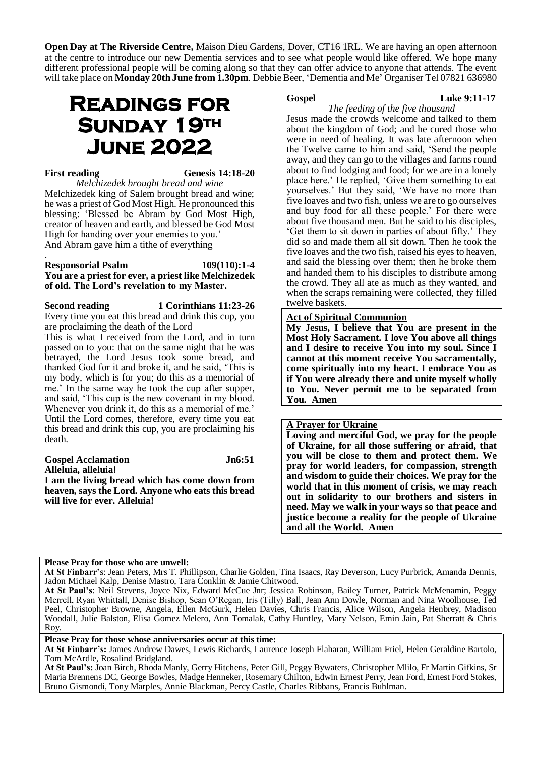**Open Day at The Riverside Centre,** Maison Dieu Gardens, Dover, CT16 1RL. We are having an open afternoon at the centre to introduce our new Dementia services and to see what people would like offered. We hope many different professional people will be coming along so that they can offer advice to anyone that attends. The event will take place on **Monday 20th June from 1.30pm**. Debbie Beer, 'Dementia and Me' Organiser Tel 07821 636980

# **Readings for**   $S$ **UNDAY 19**<sup>TH</sup> **June 2022**

# First reading Genesis 14:18-20

*Melchizedek brought bread and wine* Melchizedek king of Salem brought bread and wine; he was a priest of God Most High. He pronounced this blessing: 'Blessed be Abram by God Most High, creator of heaven and earth, and blessed be God Most High for handing over your enemies to you.' And Abram gave him a tithe of everything

### . **Responsorial Psalm 109(110):1-4 You are a priest for ever, a priest like Melchizedek of old. The Lord's revelation to my Master.**

**Second reading 1 Corinthians 11:23-26** Every time you eat this bread and drink this cup, you are proclaiming the death of the Lord

This is what I received from the Lord, and in turn passed on to you: that on the same night that he was betrayed, the Lord Jesus took some bread, and thanked God for it and broke it, and he said, 'This is my body, which is for you; do this as a memorial of me.' In the same way he took the cup after supper, and said, 'This cup is the new covenant in my blood. Whenever you drink it, do this as a memorial of me.' Until the Lord comes, therefore, every time you eat this bread and drink this cup, you are proclaiming his death.

### **Gospel Acclamation Jn6:51 Alleluia, alleluia!**

**I am the living bread which has come down from heaven, says the Lord. Anyone who eats this bread will live for ever. Alleluia!**

### **Gospel Luke 9:11-17**

## *The feeding of the five thousand*

Jesus made the crowds welcome and talked to them about the kingdom of God; and he cured those who were in need of healing. It was late afternoon when the Twelve came to him and said, 'Send the people away, and they can go to the villages and farms round about to find lodging and food; for we are in a lonely place here.' He replied, 'Give them something to eat yourselves.' But they said, 'We have no more than five loaves and two fish, unless we are to go ourselves and buy food for all these people.' For there were about five thousand men. But he said to his disciples, 'Get them to sit down in parties of about fifty.' They did so and made them all sit down. Then he took the five loaves and the two fish, raised his eyes to heaven, and said the blessing over them; then he broke them and handed them to his disciples to distribute among the crowd. They all ate as much as they wanted, and when the scraps remaining were collected, they filled twelve baskets.

### **Act of Spiritual Communion**

**My Jesus, I believe that You are present in the Most Holy Sacrament. I love You above all things and I desire to receive You into my soul. Since I cannot at this moment receive You sacramentally, come spiritually into my heart. I embrace You as if You were already there and unite myself wholly to You. Never permit me to be separated from You. Amen**

### **A Prayer for Ukraine**

**Loving and merciful God, we pray for the people of Ukraine, for all those suffering or afraid, that you will be close to them and protect them. We pray for world leaders, for compassion, strength and wisdom to guide their choices. We pray for the world that in this moment of crisis, we may reach out in solidarity to our brothers and sisters in need. May we walk in your ways so that peace and justice become a reality for the people of Ukraine and all the World. Amen**

### **Please Pray for those who are unwell:**

**At St Finbarr'**s: Jean Peters, Mrs T. Phillipson, Charlie Golden, Tina Isaacs, Ray Deverson, Lucy Purbrick, Amanda Dennis, Jadon Michael Kalp, Denise Mastro, Tara Conklin & Jamie Chitwood.

**At St Paul's**: Neil Stevens, Joyce Nix, Edward McCue Jnr; Jessica Robinson, Bailey Turner, Patrick McMenamin, Peggy Merrell, Ryan Whittall, Denise Bishop, Sean O'Regan, Iris (Tilly) Ball, Jean Ann Dowle, Norman and Nina Woolhouse, Ted Peel, Christopher Browne, Angela, Ellen McGurk, Helen Davies, Chris Francis, Alice Wilson, Angela Henbrey, Madison Woodall, Julie Balston, Elisa Gomez Melero, Ann Tomalak, Cathy Huntley, Mary Nelson, Emin Jain, Pat Sherratt & Chris Roy.

**Please Pray for those whose anniversaries occur at this time:**

**At St Finbarr's:** James Andrew Dawes, Lewis Richards, Laurence Joseph Flaharan, William Friel, Helen Geraldine Bartolo, Tom McArdle, Rosalind Bridgland.

**At St Paul's:** Joan Birch, Rhoda Manly, Gerry Hitchens, Peter Gill, Peggy Bywaters, Christopher Mlilo, Fr Martin Gifkins, Sr Maria Brennens DC, George Bowles, Madge Henneker, Rosemary Chilton, Edwin Ernest Perry, Jean Ford, Ernest Ford Stokes, Bruno Gismondi, Tony Marples, Annie Blackman, Percy Castle, Charles Ribbans, Francis Buhlman.